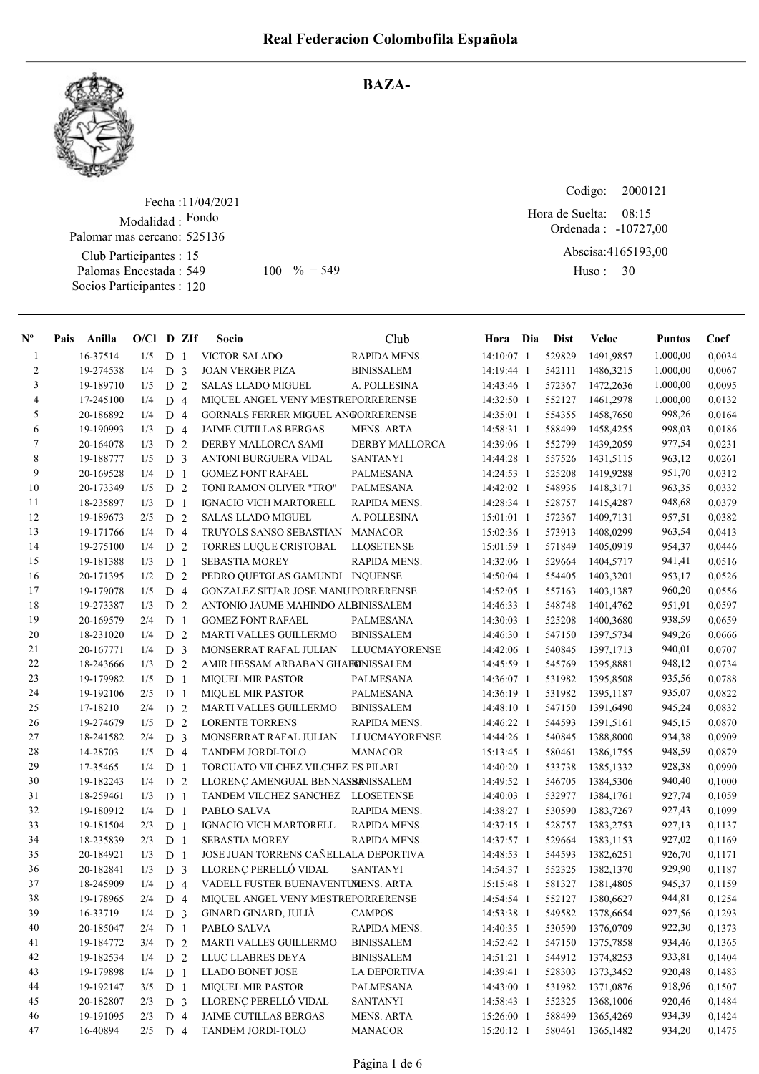

## BAZA-

Fecha : 11/04/2021 Modalidad : Fondo Club Participantes : 15 Palomas Encestada : 549 Socios Participantes : 120 Palomar mas cercano: 525136 549 100 % = 549 Huso: 30

Codigo: Ordenada : -10727,00 Abscisa: 4165193,00 Huso: 30 Hora de Suelta: 08:15

| $N^{\circ}$    | Pais | Anilla    | $O/Cl$ D ZIf |                |                | Socio                                     | Club              | Hora Dia     | <b>Dist</b> | Veloc      | <b>Puntos</b> | Coef   |
|----------------|------|-----------|--------------|----------------|----------------|-------------------------------------------|-------------------|--------------|-------------|------------|---------------|--------|
| $\mathbf{1}$   |      | 16-37514  | 1/5          | D              | $\overline{1}$ | <b>VICTOR SALADO</b>                      | RAPIDA MENS.      | 14:10:07 1   | 529829      | 1491,9857  | 1.000,00      | 0,0034 |
| $\overline{c}$ |      | 19-274538 | 1/4          | D <sub>3</sub> |                | <b>JOAN VERGER PIZA</b>                   | <b>BINISSALEM</b> | 14:19:44 1   | 542111      | 1486,3215  | 1.000,00      | 0,0067 |
| $\mathfrak{Z}$ |      | 19-189710 | 1/5          | D <sub>2</sub> |                | <b>SALAS LLADO MIGUEL</b>                 | A. POLLESINA      | 14:43:46 1   | 572367      | 1472,2636  | 1.000,00      | 0,0095 |
| $\overline{4}$ |      | 17-245100 | 1/4          | D <sub>4</sub> |                | MIQUEL ANGEL VENY MESTREPORRERENSE        |                   | 14:32:50 1   | 552127      | 1461,2978  | 1.000,00      | 0,0132 |
| 5              |      | 20-186892 | 1/4          | D <sub>4</sub> |                | <b>GORNALS FERRER MIGUEL ANGORRERENSE</b> |                   | 14:35:01 1   | 554355      | 1458,7650  | 998,26        | 0,0164 |
| 6              |      | 19-190993 | 1/3          | D <sub>4</sub> |                | <b>JAIME CUTILLAS BERGAS</b>              | <b>MENS. ARTA</b> | 14:58:31 1   | 588499      | 1458,4255  | 998,03        | 0,0186 |
| 7              |      | 20-164078 | 1/3          | D              | 2              | DERBY MALLORCA SAMI                       | DERBY MALLORCA    | 14:39:06 1   | 552799      | 1439,2059  | 977,54        | 0,0231 |
| $\,$ 8 $\,$    |      | 19-188777 | 1/5          | D <sub>3</sub> |                | ANTONI BURGUERA VIDAL                     | <b>SANTANYI</b>   | 14:44:28 1   | 557526      | 1431,5115  | 963,12        | 0,0261 |
| 9              |      | 20-169528 | 1/4          | D              | 1              | <b>GOMEZ FONT RAFAEL</b>                  | <b>PALMESANA</b>  | 14:24:53 1   | 525208      | 1419,9288  | 951,70        | 0,0312 |
| 10             |      | 20-173349 | 1/5          | D              | 2              | TONI RAMON OLIVER "TRO"                   | PALMESANA         | 14:42:02 1   | 548936      | 1418,3171  | 963,35        | 0,0332 |
| 11             |      | 18-235897 | 1/3          | D <sub>1</sub> |                | <b>IGNACIO VICH MARTORELL</b>             | RAPIDA MENS.      | 14:28:34 1   | 528757      | 1415,4287  | 948,68        | 0,0379 |
| 12             |      | 19-189673 | 2/5          | D              | 2              | <b>SALAS LLADO MIGUEL</b>                 | A. POLLESINA      | $15:01:01$ 1 | 572367      | 1409,7131  | 957,51        | 0,0382 |
| 13             |      | 19-171766 | 1/4          | D              | $\overline{4}$ | TRUYOLS SANSO SEBASTIAN                   | <b>MANACOR</b>    | 15:02:36 1   | 573913      | 1408,0299  | 963,54        | 0,0413 |
| 14             |      | 19-275100 | 1/4          | D <sub>2</sub> |                | <b>TORRES LUQUE CRISTOBAL</b>             | <b>LLOSETENSE</b> | 15:01:59 1   | 571849      | 1405,0919  | 954,37        | 0,0446 |
| 15             |      | 19-181388 | 1/3          | D              | $\mathbf{1}$   | <b>SEBASTIA MOREY</b>                     | RAPIDA MENS.      | 14:32:06 1   | 529664      | 1404,5717  | 941,41        | 0,0516 |
| 16             |      | 20-171395 | 1/2          | D <sub>2</sub> |                | PEDRO QUETGLAS GAMUNDI INQUENSE           |                   | 14:50:04 1   | 554405      | 1403,3201  | 953,17        | 0,0526 |
| 17             |      | 19-179078 | 1/5          | D <sub>4</sub> |                | GONZALEZ SITJAR JOSE MANUPORRERENSE       |                   | 14:52:05 1   | 557163      | 1403,1387  | 960,20        | 0.0556 |
| 18             |      | 19-273387 | 1/3          | D <sub>2</sub> |                | ANTONIO JAUME MAHINDO ALBINISSALEM        |                   | 14:46:33 1   | 548748      | 1401,4762  | 951,91        | 0,0597 |
| 19             |      | 20-169579 | 2/4          | D              | $\mathbf{1}$   | <b>GOMEZ FONT RAFAEL</b>                  | PALMESANA         | 14:30:03 1   | 525208      | 1400,3680  | 938,59        | 0,0659 |
| 20             |      | 18-231020 | 1/4          | D <sub>2</sub> |                | MARTI VALLES GUILLERMO                    | <b>BINISSALEM</b> | 14:46:30 1   | 547150      | 1397,5734  | 949,26        | 0,0666 |
| 21             |      | 20-167771 | 1/4          | D              | $\overline{3}$ | MONSERRAT RAFAL JULIAN                    | LLUCMAYORENSE     | 14:42:06 1   | 540845      | 1397,1713  | 940,01        | 0,0707 |
| 22             |      | 18-243666 | 1/3          | D              | 2              | AMIR HESSAM ARBABAN GHAHONISSALEM         |                   | 14:45:59 1   | 545769      | 1395,8881  | 948,12        | 0,0734 |
| 23             |      | 19-179982 | 1/5          | D              | -1             | <b>MIQUEL MIR PASTOR</b>                  | <b>PALMESANA</b>  | 14:36:07 1   | 531982      | 1395,8508  | 935,56        | 0,0788 |
| 24             |      | 19-192106 | 2/5          | D <sub>1</sub> |                | <b>MIQUEL MIR PASTOR</b>                  | <b>PALMESANA</b>  | 14:36:19 1   | 531982      | 1395, 1187 | 935,07        | 0,0822 |
| 25             |      | 17-18210  | 2/4          | D              | 2              | MARTI VALLES GUILLERMO                    | <b>BINISSALEM</b> | 14:48:10 1   | 547150      | 1391,6490  | 945,24        | 0,0832 |
| 26             |      | 19-274679 | 1/5          | ${\rm D}$      | 2              | <b>LORENTE TORRENS</b>                    | RAPIDA MENS.      | 14:46:22 1   | 544593      | 1391,5161  | 945,15        | 0,0870 |
| 27             |      | 18-241582 | 2/4          | D <sub>3</sub> |                | MONSERRAT RAFAL JULIAN                    | LLUCMAYORENSE     | 14:44:26 1   | 540845      | 1388,8000  | 934,38        | 0,0909 |
| 28             |      | 14-28703  | 1/5          | D <sub>4</sub> |                | <b>TANDEM JORDI-TOLO</b>                  | MANACOR           | 15:13:45 1   | 580461      | 1386,1755  | 948,59        | 0,0879 |
| 29             |      | 17-35465  | 1/4          | D <sub>1</sub> |                | TORCUATO VILCHEZ VILCHEZ ES PILARI        |                   | 14:40:20 1   | 533738      | 1385,1332  | 928,38        | 0,0990 |
| 30             |      | 19-182243 | 1/4          | D <sub>2</sub> |                | LLORENÇ AMENGUAL BENNASBANISSALEM         |                   | 14:49:52 1   | 546705      | 1384,5306  | 940,40        | 0,1000 |
| 31             |      | 18-259461 | 1/3          | D <sub>1</sub> |                | TANDEM VILCHEZ SANCHEZ LLOSETENSE         |                   | 14:40:03 1   | 532977      | 1384,1761  | 927,74        | 0,1059 |
| 32             |      | 19-180912 | 1/4          | D <sub>1</sub> |                | PABLO SALVA                               | RAPIDA MENS.      | 14:38:27 1   | 530590      | 1383,7267  | 927,43        | 0,1099 |
| 33             |      | 19-181504 | 2/3          | D <sub>1</sub> |                | <b>IGNACIO VICH MARTORELL</b>             | RAPIDA MENS.      | 14:37:15 1   | 528757      | 1383,2753  | 927,13        | 0,1137 |
| 34             |      | 18-235839 | 2/3          | D <sub>1</sub> |                | <b>SEBASTIA MOREY</b>                     | RAPIDA MENS.      | 14:37:57 1   | 529664      | 1383,1153  | 927,02        | 0,1169 |
| 35             |      | 20-184921 | 1/3          | D <sub>1</sub> |                | JOSE JUAN TORRENS CAÑELLALA DEPORTIVA     |                   | 14:48:53 1   | 544593      | 1382,6251  | 926,70        | 0,1171 |
| 36             |      | 20-182841 | 1/3          | D <sub>3</sub> |                | LLORENÇ PERELLÓ VIDAL                     | SANTANYI          | 14:54:37 1   | 552325      | 1382,1370  | 929,90        | 0,1187 |
| 37             |      | 18-245909 | 1/4          | D <sub>4</sub> |                | VADELL FUSTER BUENAVENTUMENS. ARTA        |                   | 15:15:48 1   | 581327      | 1381,4805  | 945,37        | 0,1159 |
| 38             |      | 19-178965 | 2/4          | D 4            |                | MIQUEL ANGEL VENY MESTREPORRERENSE        |                   | 14:54:54 1   | 552127      | 1380,6627  | 944,81        | 0,1254 |
| 39             |      | 16-33719  | 1/4          | D <sub>3</sub> |                | GINARD GINARD, JULIÀ                      | <b>CAMPOS</b>     | 14:53:38 1   | 549582      | 1378,6654  | 927,56        | 0,1293 |
| 40             |      | 20-185047 | 2/4          | D <sub>1</sub> |                | PABLO SALVA                               | RAPIDA MENS.      | 14:40:35 1   | 530590      | 1376,0709  | 922,30        | 0,1373 |
| 41             |      | 19-184772 | 3/4          | D <sub>2</sub> |                | MARTI VALLES GUILLERMO                    | <b>BINISSALEM</b> | 14:52:42 1   | 547150      | 1375,7858  | 934,46        | 0,1365 |
| 42             |      | 19-182534 | 1/4          | D <sub>2</sub> |                | LLUC LLABRES DEYA                         | <b>BINISSALEM</b> | 14:51:21 1   | 544912      | 1374,8253  | 933,81        | 0,1404 |
| 43             |      | 19-179898 | 1/4          | D <sub>1</sub> |                | LLADO BONET JOSE                          | LA DEPORTIVA      | 14:39:41 1   | 528303      | 1373,3452  | 920,48        | 0,1483 |
| 44             |      | 19-192147 | 3/5          | D <sub>1</sub> |                | <b>MIQUEL MIR PASTOR</b>                  | PALMESANA         | 14:43:00 1   | 531982      | 1371,0876  | 918,96        | 0,1507 |
| 45             |      | 20-182807 | 2/3          | D <sub>3</sub> |                | LLORENÇ PERELLÓ VIDAL                     | <b>SANTANYI</b>   | 14:58:43 1   | 552325      | 1368,1006  | 920,46        | 0,1484 |
| 46             |      | 19-191095 | 2/3          | D 4            |                | JAIME CUTILLAS BERGAS                     | MENS. ARTA        | 15:26:00 1   | 588499      | 1365,4269  | 934,39        | 0,1424 |
| 47             |      | 16-40894  | $2/5$ D 4    |                |                | TANDEM JORDI-TOLO                         | <b>MANACOR</b>    | 15:20:12 1   | 580461      | 1365,1482  | 934,20        | 0,1475 |
|                |      |           |              |                |                |                                           |                   |              |             |            |               |        |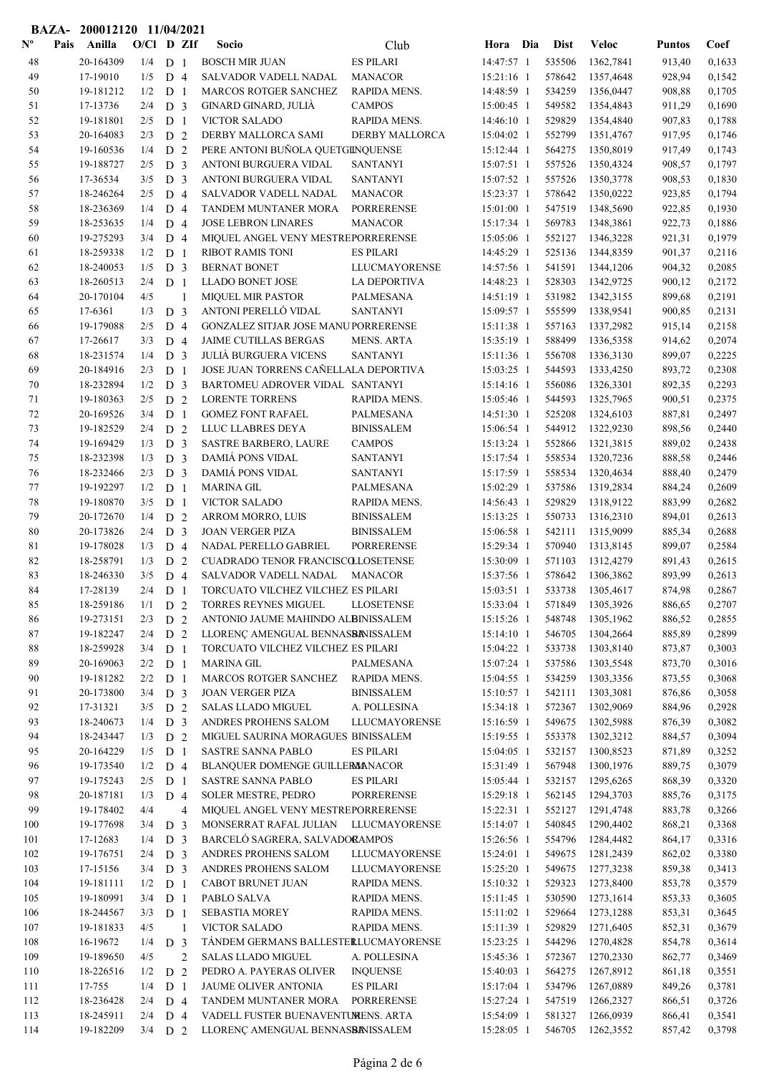| <b>BAZA-</b>              |      | 200012120 11/04/2021   |              |                                  |                |                                                            |                       |                          |                  |                        |                  |                  |
|---------------------------|------|------------------------|--------------|----------------------------------|----------------|------------------------------------------------------------|-----------------------|--------------------------|------------------|------------------------|------------------|------------------|
| $\mathbf{N}^{\mathbf{o}}$ | Pais | Anilla                 | $O/Cl$ D ZIf |                                  |                | Socio                                                      | Club                  | Hora Dia                 | Dist             | Veloc                  | <b>Puntos</b>    | Coef             |
| 48                        |      | 20-164309              | 1/4          | D <sub>1</sub>                   |                | <b>BOSCH MIR JUAN</b>                                      | <b>ES PILARI</b>      | 14:47:57 1               | 535506           | 1362,7841              | 913,40           | 0,1633           |
| 49                        |      | 17-19010               | 1/5          | D <sub>4</sub>                   |                | SALVADOR VADELL NADAL                                      | <b>MANACOR</b>        | 15:21:16 1               | 578642           | 1357,4648              | 928,94           | 0,1542           |
| 50                        |      | 19-181212              | 1/2          | D <sub>1</sub>                   |                | MARCOS ROTGER SANCHEZ                                      | RAPIDA MENS.          | 14:48:59 1               | 534259           | 1356,0447              | 908,88           | 0,1705           |
| 51                        |      | 17-13736               | 2/4          | D <sub>3</sub>                   |                | GINARD GINARD, JULIÀ                                       | <b>CAMPOS</b>         | 15:00:45 1               | 549582           | 1354,4843              | 911,29           | 0,1690           |
| 52                        |      | 19-181801              | 2/5          | D <sub>1</sub>                   |                | <b>VICTOR SALADO</b>                                       | RAPIDA MENS.          | 14:46:10 1               | 529829           | 1354,4840              | 907,83           | 0,1788           |
| 53                        |      | 20-164083              | 2/3          | D <sub>2</sub>                   |                | DERBY MALLORCA SAMI                                        | <b>DERBY MALLORCA</b> | $15:04:02$ 1             | 552799           | 1351,4767              | 917,95           | 0,1746           |
| 54                        |      | 19-160536              | 1/4          | D 2                              |                | PERE ANTONI BUÑOLA QUETGINQUENSE                           |                       | 15:12:44 1               | 564275           | 1350,8019              | 917,49           | 0,1743           |
| 55                        |      | 19-188727              | 2/5          | D <sub>3</sub>                   |                | <b>ANTONI BURGUERA VIDAL</b>                               | <b>SANTANYI</b>       | 15:07:51 1               | 557526           | 1350,4324              | 908,57           | 0,1797           |
| 56                        |      | 17-36534               | 3/5          | D <sub>3</sub>                   |                | ANTONI BURGUERA VIDAL                                      | <b>SANTANYI</b>       | 15:07:52 1               | 557526           | 1350,3778              | 908,53           | 0,1830           |
| 57                        |      | 18-246264              | 2/5          | D <sub>4</sub>                   |                | SALVADOR VADELL NADAL                                      | <b>MANACOR</b>        | 15:23:37 1               | 578642           | 1350,0222              | 923,85           | 0,1794           |
| 58                        |      | 18-236369              | 1/4          | D <sub>4</sub>                   |                | <b>TANDEM MUNTANER MORA</b>                                | <b>PORRERENSE</b>     | 15:01:00 1               | 547519           | 1348,5690              | 922,85           | 0,1930           |
| 59                        |      | 18-253635              | 1/4          | D <sub>4</sub>                   |                | <b>JOSE LEBRON LINARES</b>                                 | <b>MANACOR</b>        | 15:17:34 1               | 569783           | 1348,3861              | 922,73           | 0,1886           |
| 60                        |      | 19-275293              | 3/4          | D <sub>4</sub>                   |                | MIQUEL ANGEL VENY MESTREPORRERENSE                         |                       | 15:05:06 1               | 552127           | 1346,3228              | 921,31           | 0,1979           |
| 61                        |      | 18-259338              | 1/2          | D <sub>1</sub>                   |                | <b>RIBOT RAMIS TONI</b>                                    | <b>ES PILARI</b>      | 14:45:29 1               | 525136           | 1344,8359              | 901,37           | 0,2116           |
| 62                        |      | 18-240053              | 1/5          | D <sub>3</sub>                   |                | <b>BERNAT BONET</b>                                        | LLUCMAYORENSE         | 14:57:56 1               | 541591           | 1344,1206              | 904,32           | 0,2085           |
| 63                        |      | 18-260513              | 2/4          | D <sub>1</sub>                   |                | <b>LLADO BONET JOSE</b>                                    | <b>LA DEPORTIVA</b>   | 14:48:23 1               | 528303           | 1342,9725              | 900,12           | 0,2172           |
| 64                        |      | 20-170104              | 4/5          |                                  | $\mathbf{1}$   | <b>MIQUEL MIR PASTOR</b>                                   | <b>PALMESANA</b>      | 14:51:19 1               | 531982           | 1342,3155              | 899,68           | 0,2191           |
| 65                        |      | 17-6361                | 1/3          | D <sub>3</sub>                   |                | ANTONI PERELLÓ VIDAL                                       | <b>SANTANYI</b>       | 15:09:57 1               | 555599           | 1338,9541              | 900,85           | 0,2131           |
| 66                        |      | 19-179088              | 2/5          | D <sub>4</sub>                   |                | GONZALEZ SITJAR JOSE MANUPORRERENSE                        |                       | 15:11:38 1               | 557163           | 1337,2982              | 915,14           | 0,2158           |
| 67                        |      | 17-26617               | 3/3          | D <sub>4</sub>                   |                | <b>JAIME CUTILLAS BERGAS</b>                               | <b>MENS. ARTA</b>     | 15:35:19 1               | 588499           | 1336,5358              | 914,62           | 0,2074           |
| 68                        |      | 18-231574              | 1/4          | D <sub>3</sub>                   |                | <b>JULIÀ BURGUERA VICENS</b>                               | <b>SANTANYI</b>       | 15:11:36 1               | 556708           | 1336,3130              | 899,07           | 0,2225           |
| 69                        |      | 20-184916              | 2/3          | D <sub>1</sub>                   |                | JOSE JUAN TORRENS CAÑELLALA DEPORTIVA                      |                       | 15:03:25 1               | 544593           | 1333,4250              | 893,72           | 0,2308           |
| 70                        |      | 18-232894              | 1/2          | D <sub>3</sub>                   |                | BARTOMEU ADROVER VIDAL SANTANYI                            |                       | 15:14:16 1               | 556086           | 1326,3301              | 892,35           | 0,2293           |
| 71                        |      | 19-180363              | 2/5          | D <sub>2</sub>                   |                | <b>LORENTE TORRENS</b>                                     | RAPIDA MENS.          | 15:05:46 1               | 544593           | 1325,7965              | 900,51           | 0,2375           |
| 72                        |      | 20-169526              | 3/4          | D <sub>1</sub>                   |                | <b>GOMEZ FONT RAFAEL</b>                                   | <b>PALMESANA</b>      | 14:51:30 1               | 525208           | 1324,6103              | 887,81           | 0,2497           |
| 73                        |      | 19-182529              | 2/4          | D <sub>2</sub>                   |                | LLUC LLABRES DEYA                                          | <b>BINISSALEM</b>     | 15:06:54 1               | 544912           | 1322,9230              | 898,56           | 0,2440           |
| 74                        |      | 19-169429              | 1/3          | D <sub>3</sub>                   |                | <b>SASTRE BARBERO, LAURE</b>                               | <b>CAMPOS</b>         | 15:13:24 1               | 552866           | 1321,3815              | 889,02           | 0,2438           |
| 75                        |      | 18-232398              | 1/3          | D <sub>3</sub>                   |                | <b>DAMIÁ PONS VIDAL</b>                                    | <b>SANTANYI</b>       | 15:17:54 1               | 558534           | 1320,7236              | 888,58           | 0,2446           |
| 76                        |      | 18-232466              | 2/3          | D <sub>3</sub>                   |                | <b>DAMIÁ PONS VIDAL</b>                                    | <b>SANTANYI</b>       | 15:17:59 1               | 558534           | 1320,4634              | 888,40           | 0,2479           |
| 77                        |      | 19-192297              | 1/2          | D <sub>1</sub>                   |                | <b>MARINA GIL</b>                                          | PALMESANA             | 15:02:29 1               | 537586           | 1319,2834              | 884,24           | 0,2609           |
| 78                        |      | 19-180870              | 3/5          | D <sub>1</sub>                   |                | <b>VICTOR SALADO</b>                                       | RAPIDA MENS.          | 14:56:43 1               | 529829           | 1318,9122              | 883,99           | 0,2682           |
| 79                        |      | 20-172670              | 1/4          | D <sub>2</sub>                   |                | ARROM MORRO, LUIS                                          | <b>BINISSALEM</b>     | 15:13:25 1               | 550733           | 1316,2310              | 894,01           | 0,2613           |
| 80                        |      | 20-173826              | 2/4          | D <sub>3</sub>                   |                | <b>JOAN VERGER PIZA</b>                                    | <b>BINISSALEM</b>     | 15:06:58 1               | 542111           | 1315,9099              | 885,34           | 0,2688           |
| 81                        |      | 19-178028              | 1/3          | D <sub>4</sub>                   |                | NADAL PERELLO GABRIEL                                      | <b>PORRERENSE</b>     | 15:29:34 1               | 570940           | 1313,8145              | 899,07           | 0,2584           |
| 82                        |      | 18-258791              | 1/3          | D <sub>2</sub>                   |                | <b>CUADRADO TENOR FRANCISCOLLOSETENSE</b>                  |                       | 15:30:09 1               | 571103           | 1312,4279              | 891,43           | 0,2615           |
| 83                        |      | 18-246330              | 3/5          | D <sub>4</sub>                   |                | SALVADOR VADELL NADAL                                      | <b>MANACOR</b>        | 15:37:56 1               | 578642           | 1306,3862              | 893,99           | 0,2613           |
| 84                        |      | 17-28139               | 2/4          | D <sub>1</sub>                   |                | TORCUATO VILCHEZ VILCHEZ ES PILARI                         |                       | 15:03:51 1<br>15:33:04 1 | 533738           | 1305,4617              | 874,98           | 0,2867           |
| 85                        |      | 18-259186              | 1/1          | D 2                              |                | TORRES REYNES MIGUEL<br>ANTONIO JAUME MAHINDO ALBINISSALEM | <b>LLOSETENSE</b>     |                          | 571849           | 1305,3926<br>1305,1962 | 886,65           | 0,2707           |
| 86                        |      | 19-273151<br>19-182247 | 2/3          | D <sub>2</sub>                   |                |                                                            |                       | 15:15:26 1<br>15:14:10 1 | 548748<br>546705 |                        | 886,52           | 0,2855           |
| 87<br>88                  |      | 18-259928              | 2/4<br>3/4   | D <sub>2</sub>                   |                | LLORENÇ AMENGUAL BENNASBANISSALEM                          |                       | 15:04:22 1               | 533738           | 1304,2664<br>1303,8140 | 885,89           | 0,2899           |
| 89                        |      | 20-169063              | 2/2          | D <sub>1</sub><br>D <sub>1</sub> |                | TORCUATO VILCHEZ VILCHEZ ES PILARI<br><b>MARINA GIL</b>    | <b>PALMESANA</b>      | 15:07:24 1               | 537586           | 1303,5548              | 873,87<br>873,70 | 0,3003<br>0,3016 |
| 90                        |      | 19-181282              | 2/2          | D <sub>1</sub>                   |                | MARCOS ROTGER SANCHEZ                                      | RAPIDA MENS.          | 15:04:55 1               | 534259           | 1303,3356              | 873,55           | 0,3068           |
| 91                        |      | 20-173800              | 3/4          | D <sub>3</sub>                   |                | <b>JOAN VERGER PIZA</b>                                    | <b>BINISSALEM</b>     | 15:10:57 1               | 542111           | 1303,3081              | 876,86           | 0,3058           |
| 92                        |      | 17-31321               | 3/5          | D 2                              |                | <b>SALAS LLADO MIGUEL</b>                                  | A. POLLESINA          | 15:34:18 1               | 572367           | 1302,9069              | 884,96           | 0,2928           |
| 93                        |      | 18-240673              | 1/4          | D <sub>3</sub>                   |                | ANDRES PROHENS SALOM                                       | <b>LLUCMAYORENSE</b>  | 15:16:59 1               | 549675           | 1302,5988              | 876,39           | 0,3082           |
| 94                        |      | 18-243447              | 1/3          | D <sub>2</sub>                   |                | MIGUEL SAURINA MORAGUES BINISSALEM                         |                       | 15:19:55 1               | 553378           | 1302,3212              | 884,57           | 0,3094           |
| 95                        |      | 20-164229              | 1/5          | D <sub>1</sub>                   |                | <b>SASTRE SANNA PABLO</b>                                  | <b>ES PILARI</b>      | 15:04:05 1               | 532157           | 1300,8523              | 871,89           | 0,3252           |
| 96                        |      | 19-173540              | 1/2          | D <sub>4</sub>                   |                | BLANQUER DOMENGE GUILLERMANACOR                            |                       | 15:31:49 1               | 567948           | 1300,1976              | 889,75           | 0,3079           |
| 97                        |      | 19-175243              | 2/5          | D <sub>1</sub>                   |                | SASTRE SANNA PABLO                                         | <b>ES PILARI</b>      | 15:05:44 1               | 532157           | 1295,6265              | 868,39           | 0,3320           |
| 98                        |      | 20-187181              | 1/3          | D <sub>4</sub>                   |                | <b>SOLER MESTRE, PEDRO</b>                                 | PORRERENSE            | 15:29:18 1               | 562145           | 1294,3703              | 885,76           | 0,3175           |
| 99                        |      | 19-178402              | 4/4          |                                  | $\overline{4}$ | MIQUEL ANGEL VENY MESTREPORRERENSE                         |                       | 15:22:31 1               | 552127           | 1291,4748              | 883,78           | 0,3266           |
| 100                       |      | 19-177698              | 3/4          | D <sub>3</sub>                   |                | MONSERRAT RAFAL JULIAN                                     | LLUCMAYORENSE         | 15:14:07 1               | 540845           | 1290,4402              | 868,21           | 0,3368           |
| 101                       |      | 17-12683               | 1/4          | D <sub>3</sub>                   |                | BARCELÓ SAGRERA, SALVADORAMPOS                             |                       | 15:26:56 1               | 554796           | 1284,4482              | 864,17           | 0,3316           |
| 102                       |      | 19-176751              | 2/4          | D <sub>3</sub>                   |                | ANDRES PROHENS SALOM                                       | LLUCMAYORENSE         | 15:24:01 1               | 549675           | 1281,2439              | 862,02           | 0,3380           |
| 103                       |      | 17-15156               | 3/4          | D <sub>3</sub>                   |                | ANDRES PROHENS SALOM                                       | LLUCMAYORENSE         | 15:25:20 1               | 549675           | 1277,3238              | 859,38           | 0,3413           |
| 104                       |      | 19-181111              | 1/2          | D <sub>1</sub>                   |                | CABOT BRUNET JUAN                                          | RAPIDA MENS.          | 15:10:32 1               | 529323           | 1273,8400              | 853,78           | 0,3579           |
| 105                       |      | 19-180991              | 3/4          | D <sub>1</sub>                   |                | PABLO SALVA                                                | RAPIDA MENS.          | 15:11:45 1               | 530590           | 1273,1614              | 853,33           | 0,3605           |
| 106                       |      | 18-244567              | 3/3          | D <sub>1</sub>                   |                | <b>SEBASTIA MOREY</b>                                      | RAPIDA MENS.          | 15:11:02 1               | 529664           | 1273,1288              | 853,31           | 0,3645           |
| 107                       |      | 19-181833              | 4/5          |                                  | -1             | <b>VICTOR SALADO</b>                                       | RAPIDA MENS.          | 15:11:39 1               | 529829           | 1271,6405              | 852,31           | 0,3679           |
| 108                       |      | 16-19672               | 1/4          | D <sub>3</sub>                   |                | TÁNDEM GERMANS BALLESTERLUCMAYORENSE                       |                       | 15:23:25 1               | 544296           | 1270,4828              | 854,78           | 0,3614           |
| 109                       |      | 19-189650              | 4/5          |                                  | $\overline{2}$ | <b>SALAS LLADO MIGUEL</b>                                  | A. POLLESINA          | 15:45:36 1               | 572367           | 1270,2330              | 862,77           | 0,3469           |
| 110                       |      | 18-226516              | 1/2          | D <sub>2</sub>                   |                | PEDRO A. PAYERAS OLIVER                                    | <b>INQUENSE</b>       | 15:40:03 1               | 564275           | 1267,8912              | 861,18           | 0,3551           |
| 111                       |      | 17-755                 | 1/4          | D <sub>1</sub>                   |                | JAUME OLIVER ANTONIA                                       | <b>ES PILARI</b>      | 15:17:04 1               | 534796           | 1267,0889              | 849,26           | 0,3781           |
| 112                       |      | 18-236428              | 2/4          | D <sub>4</sub>                   |                | TANDEM MUNTANER MORA PORRERENSE                            |                       | 15:27:24 1               | 547519           | 1266,2327              | 866,51           | 0,3726           |
| 113                       |      | 18-245911              | 2/4          | D <sub>4</sub>                   |                | VADELL FUSTER BUENAVENTUMENS. ARTA                         |                       | 15:54:09 1               | 581327           | 1266,0939              | 866,41           | 0,3541           |
| 114                       |      | 19-182209              | $3/4$ D 2    |                                  |                | LLORENÇ AMENGUAL BENNASBANISSALEM                          |                       | 15:28:05 1               | 546705           | 1262,3552              | 857,42           | 0,3798           |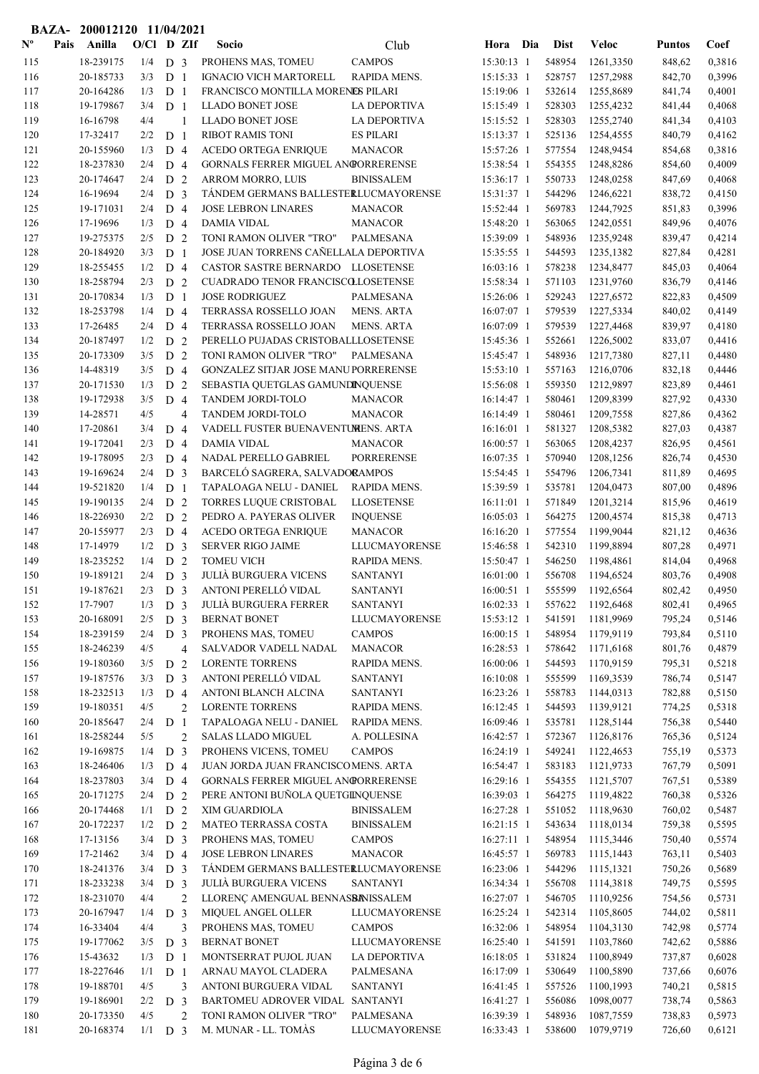|                           |      | BAZA-200012120 11/04/2021 |              |                |                |                                                     |                                    |                          |  |                  |                        |                  |                  |
|---------------------------|------|---------------------------|--------------|----------------|----------------|-----------------------------------------------------|------------------------------------|--------------------------|--|------------------|------------------------|------------------|------------------|
| $\mathbf{N}^{\mathbf{o}}$ | Pais | Anilla                    | $O/Cl$ D ZIf |                |                | Socio                                               | Club                               | Hora Dia                 |  | <b>Dist</b>      | <b>Veloc</b>           | <b>Puntos</b>    | Coef             |
| 115                       |      | 18-239175                 | 1/4          | D <sub>3</sub> |                | PROHENS MAS, TOMEU                                  | <b>CAMPOS</b>                      | 15:30:13 1               |  | 548954           | 1261,3350              | 848,62           | 0,3816           |
| 116                       |      | 20-185733                 | 3/3          | D <sub>1</sub> |                | IGNACIO VICH MARTORELL                              | RAPIDA MENS.                       | 15:15:33 1               |  | 528757           | 1257,2988              | 842,70           | 0,3996           |
| 117                       |      | 20-164286                 | 1/3          | D <sub>1</sub> |                | FRANCISCO MONTILLA MORENES PILARI                   |                                    | 15:19:06 1               |  | 532614           | 1255,8689              | 841,74           | 0,4001           |
| 118                       |      | 19-179867                 | 3/4          | D <sub>1</sub> |                | <b>LLADO BONET JOSE</b>                             | <b>LA DEPORTIVA</b>                | 15:15:49 1               |  | 528303           | 1255,4232              | 841,44           | 0,4068           |
| 119                       |      | 16-16798                  | 4/4          |                | $\mathbf{1}$   | <b>LLADO BONET JOSE</b>                             | <b>LA DEPORTIVA</b>                | 15:15:52 1               |  | 528303           | 1255,2740              | 841,34           | 0,4103           |
| 120                       |      | 17-32417                  | 2/2          | D <sub>1</sub> |                | <b>RIBOT RAMIS TONI</b>                             | <b>ES PILARI</b>                   | 15:13:37 1               |  | 525136           | 1254,4555              | 840,79           | 0,4162           |
| 121                       |      | 20-155960                 | 1/3          | D 4            |                | <b>ACEDO ORTEGA ENRIQUE</b>                         | <b>MANACOR</b>                     | 15:57:26 1               |  | 577554           | 1248,9454              | 854,68           | 0,3816           |
| 122                       |      | 18-237830                 | 2/4          | D <sub>4</sub> |                | GORNALS FERRER MIGUEL ANGORRERENSE                  |                                    | 15:38:54 1               |  | 554355           | 1248,8286              | 854,60           | 0,4009           |
| 123                       |      | 20-174647                 | 2/4          | D <sub>2</sub> |                | <b>ARROM MORRO, LUIS</b>                            | <b>BINISSALEM</b>                  | 15:36:17 1               |  | 550733           | 1248,0258              | 847,69           | 0,4068           |
| 124                       |      | 16-19694                  | 2/4          | D <sub>3</sub> |                | TÁNDEM GERMANS BALLESTERLUCMAYORENSE                |                                    | 15:31:37 1               |  | 544296           | 1246,6221              | 838,72           | 0,4150           |
| 125                       |      | 19-171031                 | 2/4          | D <sub>4</sub> |                | <b>JOSE LEBRON LINARES</b>                          | <b>MANACOR</b>                     | 15:52:44 1               |  | 569783           | 1244,7925              | 851,83           | 0,3996           |
| 126                       |      | 17-19696                  | 1/3          | D <sub>4</sub> |                | <b>DAMIA VIDAL</b>                                  | <b>MANACOR</b>                     | 15:48:20 1               |  | 563065           | 1242,0551              | 849,96           | 0,4076           |
| 127                       |      | 19-275375                 | 2/5          | D <sub>2</sub> |                | TONI RAMON OLIVER "TRO"                             | PALMESANA                          | 15:39:09 1               |  | 548936           | 1235,9248              | 839,47           | 0,4214           |
| 128                       |      | 20-184920                 | 3/3          | D <sub>1</sub> |                | JOSE JUAN TORRENS CAÑELLALA DEPORTIVA               |                                    | 15:35:55 1               |  | 544593           | 1235,1382              | 827,84           | 0,4281           |
| 129                       |      | 18-255455                 | 1/2          | D <sub>4</sub> |                | CASTOR SASTRE BERNARDO LLOSETENSE                   |                                    | 16:03:16 1               |  | 578238           | 1234,8477              | 845,03           | 0,4064           |
| 130                       |      | 18-258794                 | 2/3          | D <sub>2</sub> |                | CUADRADO TENOR FRANCISCOLLOSETENSE                  |                                    | 15:58:34 1               |  | 571103           | 1231,9760              | 836,79           | 0,4146           |
| 131                       |      | 20-170834                 | 1/3          | D <sub>1</sub> |                | <b>JOSE RODRIGUEZ</b>                               | PALMESANA                          | 15:26:06 1               |  | 529243           | 1227,6572              | 822,83           | 0,4509           |
| 132                       |      | 18-253798                 | 1/4          | D <sub>4</sub> |                | TERRASSA ROSSELLO JOAN                              | <b>MENS. ARTA</b>                  | 16:07:07 1               |  | 579539           | 1227,5334              | 840,02           | 0,4149           |
| 133                       |      | 17-26485                  | 2/4          | D <sub>4</sub> |                | TERRASSA ROSSELLO JOAN                              | <b>MENS. ARTA</b>                  | 16:07:09 1               |  | 579539           | 1227,4468              | 839,97           | 0,4180           |
| 134                       |      | 20-187497                 | 1/2          | D <sub>2</sub> |                | PERELLO PUJADAS CRISTOBALLLOSETENSE                 |                                    | 15:45:36 1               |  | 552661           | 1226,5002              | 833,07           | 0,4416           |
| 135                       |      | 20-173309                 | 3/5          | D <sub>2</sub> |                | TONI RAMON OLIVER "TRO"                             | PALMESANA                          | 15:45:47 1               |  | 548936           | 1217,7380              | 827,11           | 0,4480           |
| 136                       |      | 14-48319                  | 3/5          | D <sub>4</sub> |                | GONZALEZ SITJAR JOSE MANUPORRERENSE                 |                                    | $15:53:10$ 1             |  | 557163           | 1216,0706              | 832,18           | 0,4446           |
| 137                       |      | 20-171530                 | 1/3          | D <sub>2</sub> |                | SEBASTIA QUETGLAS GAMUNDINQUENSE                    |                                    | 15:56:08 1               |  | 559350           | 1212,9897              | 823,89           | 0,4461           |
| 138                       |      | 19-172938                 | 3/5          | D <sub>4</sub> |                | <b>TANDEM JORDI-TOLO</b>                            | <b>MANACOR</b>                     | 16:14:47 1               |  | 580461           | 1209,8399              | 827,92           | 0,4330           |
| 139                       |      | 14-28571                  | 4/5          |                | $\overline{4}$ | TANDEM JORDI-TOLO                                   | <b>MANACOR</b>                     | 16:14:49 1               |  | 580461           | 1209,7558              | 827,86           | 0,4362           |
| 140                       |      | 17-20861                  | 3/4          | D <sub>4</sub> |                | VADELL FUSTER BUENAVENTUMENS. ARTA                  |                                    | $16:16:01$ 1             |  | 581327           | 1208,5382              | 827,03           | 0,4387           |
| 141                       |      | 19-172041                 | 2/3          | D <sub>4</sub> |                | <b>DAMIA VIDAL</b>                                  | <b>MANACOR</b>                     | 16:00:57 1               |  | 563065           | 1208,4237              | 826,95           | 0,4561           |
| 142                       |      | 19-178095                 | 2/3          | D <sub>4</sub> |                | NADAL PERELLO GABRIEL                               | <b>PORRERENSE</b>                  | 16:07:35 1               |  | 570940           | 1208,1256              | 826,74           | 0,4530           |
| 143                       |      | 19-169624                 | 2/4          | D <sub>3</sub> |                | BARCELÓ SAGRERA, SALVADORAMPOS                      |                                    | 15:54:45 1               |  | 554796           | 1206,7341              | 811,89           | 0,4695           |
| 144                       |      | 19-521820                 | 1/4          | D <sub>1</sub> |                | TAPALOAGA NELU - DANIEL                             | RAPIDA MENS.                       | 15:39:59 1               |  | 535781           | 1204,0473              | 807,00           | 0,4896           |
| 145                       |      | 19-190135                 | 2/4          | D <sub>2</sub> |                | TORRES LUQUE CRISTOBAL                              | <b>LLOSETENSE</b>                  | 16:11:01 1               |  | 571849           | 1201,3214              | 815,96           | 0,4619           |
| 146                       |      | 18-226930                 | 2/2          | D <sub>2</sub> |                | PEDRO A. PAYERAS OLIVER                             | <b>INQUENSE</b>                    | 16:05:03 1               |  | 564275           | 1200,4574              | 815,38           | 0,4713           |
| 147                       |      | 20-155977                 | 2/3          | D <sub>4</sub> |                | ACEDO ORTEGA ENRIQUE                                | <b>MANACOR</b>                     | 16:16:20 1               |  | 577554           | 1199,9044              | 821,12           | 0,4636           |
| 148                       |      | 17-14979                  | 1/2          | D <sub>3</sub> |                | <b>SERVER RIGO JAIME</b>                            | <b>LLUCMAYORENSE</b>               | 15:46:58 1               |  | 542310           | 1199,8894              | 807,28           | 0,4971           |
| 149                       |      | 18-235252                 | 1/4          | D <sub>2</sub> |                | <b>TOMEU VICH</b>                                   | RAPIDA MENS.                       | 15:50:47 1               |  | 546250           | 1198,4861              | 814,04           | 0,4968           |
| 150                       |      | 19-189121                 | 2/4          | D <sub>3</sub> |                | <b>JULIÀ BURGUERA VICENS</b>                        | <b>SANTANYI</b>                    | 16:01:00 1               |  | 556708<br>555599 | 1194,6524              | 803,76<br>802,42 | 0,4908<br>0,4950 |
| 151                       |      | 19-187621                 | $2/3$ D 3    |                |                | ANTONI PERELLÓ VIDAL                                | <b>SANTANYI</b><br><b>SANTANYI</b> | $16:00:51$ 1             |  |                  | 1192,6564              |                  |                  |
| 152<br>153                |      | 17-7907                   | 1/3          | D <sub>3</sub> |                | <b>JULIÀ BURGUERA FERRER</b><br><b>BERNAT BONET</b> |                                    | 16:02:33 1<br>15:53:12 1 |  | 557622<br>541591 | 1192,6468<br>1181,9969 | 802,41<br>795,24 | 0,4965<br>0,5146 |
| 154                       |      | 20-168091<br>18-239159    | 2/5<br>2/4   | D <sub>3</sub> |                | PROHENS MAS, TOMEU                                  | LLUCMAYORENSE<br><b>CAMPOS</b>     | 16:00:15 1               |  | 548954           | 1179,9119              | 793,84           | 0,5110           |
| 155                       |      | 18-246239                 | 4/5          | D <sub>3</sub> | 4              | SALVADOR VADELL NADAL                               | <b>MANACOR</b>                     | 16:28:53 1               |  | 578642           | 1171,6168              | 801,76           | 0,4879           |
| 156                       |      | 19-180360                 | 3/5          | D <sub>2</sub> |                | <b>LORENTE TORRENS</b>                              | RAPIDA MENS.                       | 16:00:06 1               |  | 544593           | 1170,9159              | 795,31           | 0,5218           |
| 157                       |      | 19-187576                 | 3/3          | D <sub>3</sub> |                | ANTONI PERELLÓ VIDAL                                | <b>SANTANYI</b>                    | 16:10:08 1               |  | 555599           | 1169,3539              | 786,74           | 0,5147           |
| 158                       |      | 18-232513                 | 1/3          | D <sub>4</sub> |                | ANTONI BLANCH ALCINA                                | <b>SANTANYI</b>                    | 16:23:26 1               |  | 558783           | 1144,0313              | 782,88           | 0,5150           |
| 159                       |      | 19-180351                 | 4/5          |                | $\mathbf{2}$   | <b>LORENTE TORRENS</b>                              | RAPIDA MENS.                       | 16:12:45 1               |  | 544593           | 1139,9121              | 774,25           | 0,5318           |
| 160                       |      | 20-185647                 | 2/4          | D <sub>1</sub> |                | TAPALOAGA NELU - DANIEL                             | RAPIDA MENS.                       | 16:09:46 1               |  | 535781           | 1128,5144              | 756,38           | 0,5440           |
| 161                       |      | 18-258244                 | 5/5          |                | $\mathbf{2}$   | SALAS LLADO MIGUEL                                  | A. POLLESINA                       | 16:42:57 1               |  | 572367           | 1126,8176              | 765,36           | 0,5124           |
| 162                       |      | 19-169875                 | 1/4          | D <sub>3</sub> |                | PROHENS VICENS, TOMEU                               | <b>CAMPOS</b>                      | 16:24:19 1               |  | 549241           | 1122,4653              | 755,19           | 0,5373           |
| 163                       |      | 18-246406                 | 1/3          | D <sub>4</sub> |                | JUAN JORDA JUAN FRANCISCOMENS. ARTA                 |                                    | 16:54:47 1               |  | 583183           | 1121,9733              | 767,79           | 0,5091           |
| 164                       |      | 18-237803                 | 3/4          | D <sub>4</sub> |                | GORNALS FERRER MIGUEL ANGORRERENSE                  |                                    | 16:29:16 1               |  | 554355           | 1121,5707              | 767,51           | 0,5389           |
| 165                       |      | 20-171275                 | 2/4          | D <sub>2</sub> |                | PERE ANTONI BUÑOLA QUETGINQUENSE                    |                                    | 16:39:03 1               |  | 564275           | 1119,4822              | 760,38           | 0,5326           |
| 166                       |      | 20-174468                 | 1/1          | D <sub>2</sub> |                | XIM GUARDIOLA                                       | <b>BINISSALEM</b>                  | 16:27:28 1               |  | 551052           | 1118,9630              | 760,02           | 0,5487           |
| 167                       |      | 20-172237                 | 1/2          | D 2            |                | MATEO TERRASSA COSTA                                | <b>BINISSALEM</b>                  | 16:21:15 1               |  | 543634           | 1118,0134              | 759,38           | 0,5595           |
| 168                       |      | 17-13156                  | 3/4          | D <sub>3</sub> |                | PROHENS MAS, TOMEU                                  | <b>CAMPOS</b>                      | 16:27:11 1               |  | 548954           | 1115,3446              | 750,40           | 0,5574           |
| 169                       |      | 17-21462                  | 3/4          | D <sub>4</sub> |                | <b>JOSE LEBRON LINARES</b>                          | <b>MANACOR</b>                     | 16:45:57 1               |  | 569783           | 1115,1443              | 763,11           | 0,5403           |
| 170                       |      | 18-241376                 | 3/4          | D <sub>3</sub> |                | TÁNDEM GERMANS BALLESTERLUCMAYORENSE                |                                    | 16:23:06 1               |  | 544296           | 1115,1321              | 750,26           | 0,5689           |
| 171                       |      | 18-233238                 | 3/4          | D <sub>3</sub> |                | <b>JULIÀ BURGUERA VICENS</b>                        | <b>SANTANYI</b>                    | 16:34:34 1               |  | 556708           | 1114,3818              | 749,75           | 0,5595           |
| 172                       |      | 18-231070                 | 4/4          |                | $\mathbf{2}$   | LLORENÇ AMENGUAL BENNASBANISSALEM                   |                                    | 16:27:07 1               |  | 546705           | 1110,9256              | 754,56           | 0,5731           |
| 173                       |      | 20-167947                 | 1/4          | D <sub>3</sub> |                | MIQUEL ANGEL OLLER                                  | LLUCMAYORENSE                      | 16:25:24 1               |  | 542314           | 1105,8605              | 744,02           | 0,5811           |
| 174                       |      | 16-33404                  | 4/4          |                | 3              | PROHENS MAS, TOMEU                                  | <b>CAMPOS</b>                      | 16:32:06 1               |  | 548954           | 1104,3130              | 742,98           | 0,5774           |
| 175                       |      | 19-177062                 | 3/5          | D <sub>3</sub> |                | <b>BERNAT BONET</b>                                 | LLUCMAYORENSE                      | 16:25:40 1               |  | 541591           | 1103,7860              | 742,62           | 0,5886           |
| 176                       |      | 15-43632                  | 1/3          | D <sub>1</sub> |                | MONTSERRAT PUJOL JUAN                               | LA DEPORTIVA                       | 16:18:05 1               |  | 531824           | 1100,8949              | 737,87           | 0,6028           |
| 177                       |      | 18-227646                 | 1/1          | D <sub>1</sub> |                | ARNAU MAYOL CLADERA                                 | PALMESANA                          | 16:17:09 1               |  | 530649           | 1100,5890              | 737,66           | 0,6076           |
| 178                       |      | 19-188701                 | 4/5          |                | 3              | ANTONI BURGUERA VIDAL                               | <b>SANTANYI</b>                    | 16:41:45 1               |  | 557526           | 1100,1993              | 740,21           | 0,5815           |
| 179                       |      | 19-186901                 | 2/2          | D <sub>3</sub> |                | BARTOMEU ADROVER VIDAL SANTANYI                     |                                    | 16:41:27 1               |  | 556086           | 1098,0077              | 738,74           | 0,5863           |
| 180                       |      | 20-173350                 | 4/5          |                | $\overline{2}$ | TONI RAMON OLIVER "TRO"                             | PALMESANA                          | 16:39:39 1               |  | 548936           | 1087,7559              | 738,83           | 0,5973           |
| 181                       |      | 20-168374                 | $1/1$ D 3    |                |                | M. MUNAR - LL. TOMÀS                                | <b>LLUCMAYORENSE</b>               | 16:33:43 1               |  | 538600           | 1079,9719              | 726,60           | 0,6121           |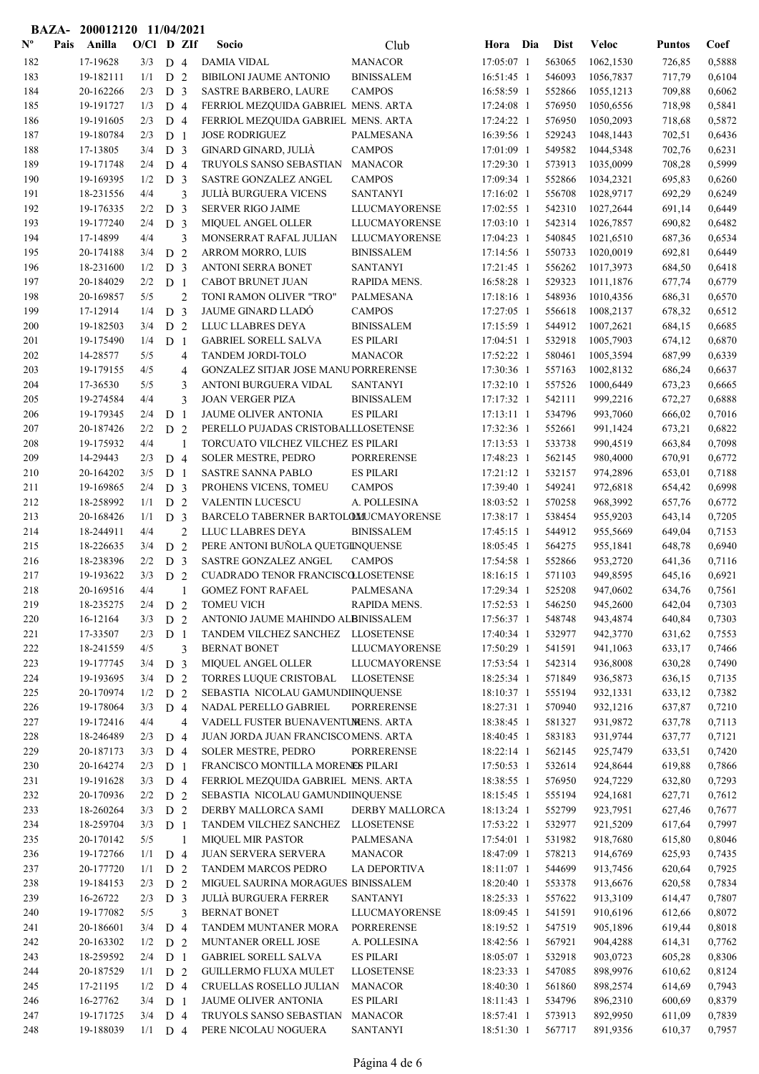|                |      | BAZA- 200012120 11/04/2021 |              |                                  |                |                                                             |                                      |                          |                  |                        |                  |                  |
|----------------|------|----------------------------|--------------|----------------------------------|----------------|-------------------------------------------------------------|--------------------------------------|--------------------------|------------------|------------------------|------------------|------------------|
| $N^{\text{o}}$ | Pais | Anilla                     | $O/Cl$ D ZIf |                                  |                | Socio                                                       | Club                                 | Hora Dia                 | <b>Dist</b>      | <b>Veloc</b>           | <b>Puntos</b>    | Coef             |
| 182            |      | 17-19628                   | 3/3          | D <sub>4</sub>                   |                | <b>DAMIA VIDAL</b>                                          | <b>MANACOR</b>                       | 17:05:07 1               | 563065           | 1062,1530              | 726,85           | 0,5888           |
| 183            |      | 19-182111                  | 1/1          | D <sub>2</sub>                   |                | <b>BIBILONI JAUME ANTONIO</b>                               | <b>BINISSALEM</b>                    | 16:51:45 1               | 546093           | 1056,7837              | 717,79           | 0,6104           |
| 184            |      | 20-162266                  | 2/3          | D <sub>3</sub>                   |                | <b>SASTRE BARBERO, LAURE</b>                                | <b>CAMPOS</b>                        | 16:58:59 1               | 552866           | 1055,1213              | 709,88           | 0,6062           |
| 185            |      | 19-191727                  | 1/3          | D 4                              |                | FERRIOL MEZQUIDA GABRIEL MENS. ARTA                         |                                      | 17:24:08 1               | 576950           | 1050,6556              | 718,98           | 0,5841           |
| 186            |      | 19-191605                  | 2/3          | D <sub>4</sub>                   |                | FERRIOL MEZQUIDA GABRIEL MENS. ARTA                         |                                      | 17:24:22 1               | 576950           | 1050,2093              | 718,68           | 0,5872           |
| 187            |      | 19-180784                  | 2/3          | D <sub>1</sub>                   |                | <b>JOSE RODRIGUEZ</b>                                       | PALMESANA                            | 16:39:56 1               | 529243           | 1048,1443              | 702,51           | 0,6436           |
| 188            |      | 17-13805                   | 3/4          | D <sub>3</sub>                   |                | GINARD GINARD, JULIÀ                                        | <b>CAMPOS</b>                        | 17:01:09 1               | 549582           | 1044,5348              | 702,76           | 0,6231           |
| 189            |      | 19-171748                  | 2/4          | D <sub>4</sub>                   |                | TRUYOLS SANSO SEBASTIAN                                     | <b>MANACOR</b>                       | 17:29:30 1               | 573913           | 1035,0099              | 708,28           | 0,5999           |
| 190            |      | 19-169395                  | 1/2          | D <sub>3</sub>                   |                | SASTRE GONZALEZ ANGEL                                       | <b>CAMPOS</b>                        | 17:09:34 1               | 552866           | 1034,2321              | 695,83           | 0,6260           |
| 191            |      | 18-231556                  | 4/4          |                                  | 3              | <b>JULIÀ BURGUERA VICENS</b>                                | <b>SANTANYI</b>                      | 17:16:02 1               | 556708           | 1028,9717              | 692,29           | 0,6249           |
| 192            |      | 19-176335                  | 2/2          | D <sub>3</sub>                   |                | <b>SERVER RIGO JAIME</b>                                    | LLUCMAYORENSE                        | 17:02:55 1               | 542310           | 1027,2644              | 691,14           | 0,6449           |
| 193            |      | 19-177240                  | 2/4          | D <sub>3</sub>                   |                | <b>MIQUEL ANGEL OLLER</b>                                   | LLUCMAYORENSE                        | $17:03:10$ 1             | 542314           | 1026,7857              | 690,82           | 0,6482           |
| 194            |      | 17-14899                   | 4/4<br>3/4   | D 2                              | 3              | MONSERRAT RAFAL JULIAN                                      | LLUCMAYORENSE                        | 17:04:23 1               | 540845<br>550733 | 1021,6510              | 687,36           | 0,6534<br>0,6449 |
| 195<br>196     |      | 20-174188<br>18-231600     | 1/2          | D                                | $\overline{3}$ | ARROM MORRO, LUIS<br><b>ANTONI SERRA BONET</b>              | <b>BINISSALEM</b><br><b>SANTANYI</b> | 17:14:56 1<br>17:21:45 1 | 556262           | 1020,0019<br>1017,3973 | 692,81<br>684,50 | 0,6418           |
| 197            |      | 20-184029                  | 2/2          | D <sub>1</sub>                   |                | CABOT BRUNET JUAN                                           | RAPIDA MENS.                         | 16:58:28 1               | 529323           | 1011,1876              | 677,74           | 0,6779           |
| 198            |      | 20-169857                  | 5/5          |                                  | $\overline{2}$ | TONI RAMON OLIVER "TRO"                                     | PALMESANA                            | 17:18:16 1               | 548936           | 1010,4356              | 686,31           | 0,6570           |
| 199            |      | 17-12914                   | 1/4          | D <sub>3</sub>                   |                | <b>JAUME GINARD LLADÓ</b>                                   | <b>CAMPOS</b>                        | 17:27:05 1               | 556618           | 1008,2137              | 678,32           | 0,6512           |
| 200            |      | 19-182503                  | 3/4          | D <sub>2</sub>                   |                | LLUC LLABRES DEYA                                           | <b>BINISSALEM</b>                    | 17:15:59 1               | 544912           | 1007,2621              | 684,15           | 0,6685           |
| 201            |      | 19-175490                  | 1/4          | D <sub>1</sub>                   |                | <b>GABRIEL SORELL SALVA</b>                                 | <b>ES PILARI</b>                     | $17:04:51$ 1             | 532918           | 1005,7903              | 674,12           | 0,6870           |
| 202            |      | 14-28577                   | 5/5          |                                  | 4              | TANDEM JORDI-TOLO                                           | <b>MANACOR</b>                       | 17:52:22 1               | 580461           | 1005,3594              | 687,99           | 0,6339           |
| 203            |      | 19-179155                  | 4/5          |                                  | $\overline{4}$ | GONZALEZ SITJAR JOSE MANUPORRERENSE                         |                                      | 17:30:36 1               | 557163           | 1002,8132              | 686,24           | 0,6637           |
| 204            |      | 17-36530                   | 5/5          |                                  | 3              | ANTONI BURGUERA VIDAL                                       | <b>SANTANYI</b>                      | 17:32:10 1               | 557526           | 1000,6449              | 673,23           | 0,6665           |
| 205            |      | 19-274584                  | 4/4          |                                  | 3              | <b>JOAN VERGER PIZA</b>                                     | <b>BINISSALEM</b>                    | 17:17:32 1               | 542111           | 999,2216               | 672,27           | 0,6888           |
| 206            |      | 19-179345                  | 2/4          | D <sub>1</sub>                   |                | <b>JAUME OLIVER ANTONIA</b>                                 | <b>ES PILARI</b>                     | 17:13:11 1               | 534796           | 993,7060               | 666,02           | 0,7016           |
| 207            |      | 20-187426                  | 2/2          | D <sub>2</sub>                   |                | PERELLO PUJADAS CRISTOBALLLOSETENSE                         |                                      | 17:32:36 1               | 552661           | 991,1424               | 673,21           | 0,6822           |
| 208            |      | 19-175932                  | 4/4          |                                  | $\mathbf{1}$   | TORCUATO VILCHEZ VILCHEZ ES PILARI                          |                                      | 17:13:53 1               | 533738           | 990,4519               | 663,84           | 0,7098           |
| 209            |      | 14-29443                   | 2/3          | D <sub>4</sub>                   |                | SOLER MESTRE, PEDRO                                         | <b>PORRERENSE</b>                    | 17:48:23 1               | 562145           | 980,4000               | 670,91           | 0,6772           |
| 210            |      | 20-164202                  | 3/5          | D <sub>1</sub>                   |                | SASTRE SANNA PABLO                                          | <b>ES PILARI</b>                     | 17:21:12 1               | 532157           | 974,2896               | 653,01           | 0,7188           |
| 211            |      | 19-169865                  | 2/4          | D <sub>3</sub>                   |                | PROHENS VICENS, TOMEU                                       | <b>CAMPOS</b>                        | 17:39:40 1               | 549241           | 972,6818               | 654,42           | 0,6998           |
| 212            |      | 18-258992                  | 1/1          | D <sub>2</sub>                   |                | <b>VALENTIN LUCESCU</b>                                     | A. POLLESINA                         | 18:03:52 1               | 570258           | 968,3992               | 657,76           | 0,6772           |
| 213            |      | 20-168426                  | 1/1          | D <sub>3</sub>                   |                | BARCELO TABERNER BARTOLOMUCMAYORENSE                        |                                      | 17:38:17 1               | 538454           | 955,9203               | 643,14           | 0,7205           |
| 214            |      | 18-244911                  | 4/4          |                                  | $\overline{2}$ | LLUC LLABRES DEYA                                           | <b>BINISSALEM</b>                    | 17:45:15 1               | 544912           | 955,5669               | 649,04           | 0,7153           |
| 215            |      | 18-226635                  | 3/4          | D 2                              |                | PERE ANTONI BUÑOLA QUETGINQUENSE                            |                                      | 18:05:45 1               | 564275           | 955,1841               | 648,78           | 0,6940           |
| 216<br>217     |      | 18-238396<br>19-193622     | 2/2<br>3/3   | D <sub>3</sub><br>D <sub>2</sub> |                | SASTRE GONZALEZ ANGEL<br>CUADRADO TENOR FRANCISCOLLOSETENSE | <b>CAMPOS</b>                        | 17:54:58 1<br>18:16:15 1 | 552866<br>571103 | 953,2720<br>949,8595   | 641,36<br>645,16 | 0,7116<br>0,6921 |
| 218            |      | 20-169516                  | 4/4          |                                  |                | <b>GOMEZ FONT RAFAEL</b>                                    | PALMESANA                            | 17:29:34 1               | 525208           | 947,0602               | 634,76           | 0,7561           |
| 219            |      | 18-235275                  | 2/4          | D <sub>2</sub>                   |                | <b>TOMEU VICH</b>                                           | RAPIDA MENS.                         | 17:52:53 1               | 546250           | 945,2600               | 642,04           | 0,7303           |
| 220            |      | 16-12164                   | 3/3          | D <sub>2</sub>                   |                | ANTONIO JAUME MAHINDO ALBINISSALEM                          |                                      | 17:56:37 1               | 548748           | 943,4874               | 640,84           | 0,7303           |
| 221            |      | 17-33507                   | 2/3          | D <sub>1</sub>                   |                | TANDEM VILCHEZ SANCHEZ LLOSETENSE                           |                                      | 17:40:34 1               | 532977           | 942,3770               | 631,62           | 0,7553           |
| 222            |      | 18-241559                  | 4/5          |                                  | 3              | <b>BERNAT BONET</b>                                         | LLUCMAYORENSE                        | 17:50:29 1               | 541591           | 941,1063               | 633,17           | 0,7466           |
| 223            |      | 19-177745                  | 3/4          | D <sub>3</sub>                   |                | MIQUEL ANGEL OLLER                                          | <b>LLUCMAYORENSE</b>                 | 17:53:54 1               | 542314           | 936,8008               | 630,28           | 0,7490           |
| 224            |      | 19-193695                  | 3/4          | D <sub>2</sub>                   |                | TORRES LUQUE CRISTOBAL                                      | <b>LLOSETENSE</b>                    | 18:25:34 1               | 571849           | 936,5873               | 636,15           | 0,7135           |
| 225            |      | 20-170974                  | 1/2          | D 2                              |                | SEBASTIA NICOLAU GAMUNDIINQUENSE                            |                                      | 18:10:37 1               | 555194           | 932,1331               | 633,12           | 0,7382           |
| 226            |      | 19-178064                  | 3/3          | D 4                              |                | NADAL PERELLO GABRIEL                                       | <b>PORRERENSE</b>                    | 18:27:31 1               | 570940           | 932,1216               | 637,87           | 0,7210           |
| 227            |      | 19-172416                  | 4/4          |                                  | $\overline{4}$ | VADELL FUSTER BUENAVENTUMENS. ARTA                          |                                      | 18:38:45 1               | 581327           | 931,9872               | 637,78           | 0,7113           |
| 228            |      | 18-246489                  | 2/3          | D 4                              |                | JUAN JORDA JUAN FRANCISCOMENS. ARTA                         |                                      | 18:40:45 1               | 583183           | 931,9744               | 637,77           | 0,7121           |
| 229            |      | 20-187173                  | 3/3          | D <sub>4</sub>                   |                | <b>SOLER MESTRE, PEDRO</b>                                  | <b>PORRERENSE</b>                    | 18:22:14 1               | 562145           | 925,7479               | 633,51           | 0,7420           |
| 230            |      | 20-164274                  | 2/3          | D <sub>1</sub>                   |                | FRANCISCO MONTILLA MORENES PILARI                           |                                      | 17:50:53 1               | 532614           | 924,8644               | 619,88           | 0,7866           |
| 231            |      | 19-191628                  | 3/3          | D <sub>4</sub>                   |                | FERRIOL MEZQUIDA GABRIEL MENS. ARTA                         |                                      | 18:38:55 1               | 576950           | 924,7229               | 632,80           | 0,7293           |
| 232            |      | 20-170936                  | 2/2          | D <sub>2</sub>                   |                | SEBASTIA NICOLAU GAMUNDIINQUENSE                            |                                      | 18:15:45 1               | 555194           | 924,1681               | 627,71           | 0,7612           |
| 233            |      | 18-260264                  | 3/3          | D 2                              |                | DERBY MALLORCA SAMI                                         | DERBY MALLORCA                       | 18:13:24 1               | 552799           | 923,7951               | 627,46           | 0,7677           |
| 234            |      | 18-259704                  | 3/3          | D <sub>1</sub>                   |                | TANDEM VILCHEZ SANCHEZ LLOSETENSE                           |                                      | 17:53:22 1               | 532977           | 921,5209               | 617,64           | 0,7997           |
| 235            |      | 20-170142                  | 5/5          |                                  | $\overline{1}$ | <b>MIQUEL MIR PASTOR</b>                                    | PALMESANA                            | 17:54:01 1               | 531982           | 918,7680               | 615,80           | 0,8046           |
| 236            |      | 19-172766                  | 1/1          | D <sub>4</sub>                   |                | JUAN SERVERA SERVERA                                        | <b>MANACOR</b>                       | 18:47:09 1               | 578213           | 914,6769               | 625,93           | 0,7435           |
| 237<br>238     |      | 20-177720<br>19-184153     | 1/1<br>2/3   | D <sub>2</sub><br>D 2            |                | TANDEM MARCOS PEDRO<br>MIGUEL SAURINA MORAGUES BINISSALEM   | LA DEPORTIVA                         | 18:11:07 1<br>18:20:40 1 | 544699<br>553378 | 913,7456<br>913,6676   | 620,64<br>620,58 | 0,7925<br>0,7834 |
| 239            |      | 16-26722                   | 2/3          | D <sub>3</sub>                   |                | <b>JULIÀ BURGUERA FERRER</b>                                | <b>SANTANYI</b>                      | 18:25:33 1               | 557622           | 913,3109               | 614,47           | 0,7807           |
| 240            |      | 19-177082                  | 5/5          |                                  | 3              | <b>BERNAT BONET</b>                                         | LLUCMAYORENSE                        | 18:09:45 1               | 541591           | 910,6196               | 612,66           | 0,8072           |
| 241            |      | 20-186601                  | 3/4          | D 4                              |                | TANDEM MUNTANER MORA                                        | <b>PORRERENSE</b>                    | 18:19:52 1               | 547519           | 905,1896               | 619,44           | 0,8018           |
| 242            |      | 20-163302                  | 1/2          | D 2                              |                | MUNTANER ORELL JOSE                                         | A. POLLESINA                         | 18:42:56 1               | 567921           | 904,4288               | 614,31           | 0,7762           |
| 243            |      | 18-259592                  | 2/4          | D <sub>1</sub>                   |                | <b>GABRIEL SORELL SALVA</b>                                 | <b>ES PILARI</b>                     | 18:05:07 1               | 532918           | 903,0723               | 605,28           | 0,8306           |
| 244            |      | 20-187529                  | 1/1          | D <sub>2</sub>                   |                | <b>GUILLERMO FLUXA MULET</b>                                | <b>LLOSETENSE</b>                    | 18:23:33 1               | 547085           | 898,9976               | 610,62           | 0,8124           |
| 245            |      | 17-21195                   | 1/2          | D 4                              |                | CRUELLAS ROSELLO JULIAN                                     | <b>MANACOR</b>                       | 18:40:30 1               | 561860           | 898,2574               | 614,69           | 0,7943           |
| 246            |      | 16-27762                   | 3/4          | D <sub>1</sub>                   |                | JAUME OLIVER ANTONIA                                        | <b>ES PILARI</b>                     | 18:11:43 1               | 534796           | 896,2310               | 600,69           | 0,8379           |
| 247            |      | 19-171725                  | 3/4          | D 4                              |                | TRUYOLS SANSO SEBASTIAN                                     | <b>MANACOR</b>                       | 18:57:41 1               | 573913           | 892,9950               | 611,09           | 0,7839           |
| 248            |      | 19-188039                  | $1/1$ D 4    |                                  |                | PERE NICOLAU NOGUERA                                        | <b>SANTANYI</b>                      | 18:51:30 1               | 567717           | 891,9356               | 610,37           | 0,7957           |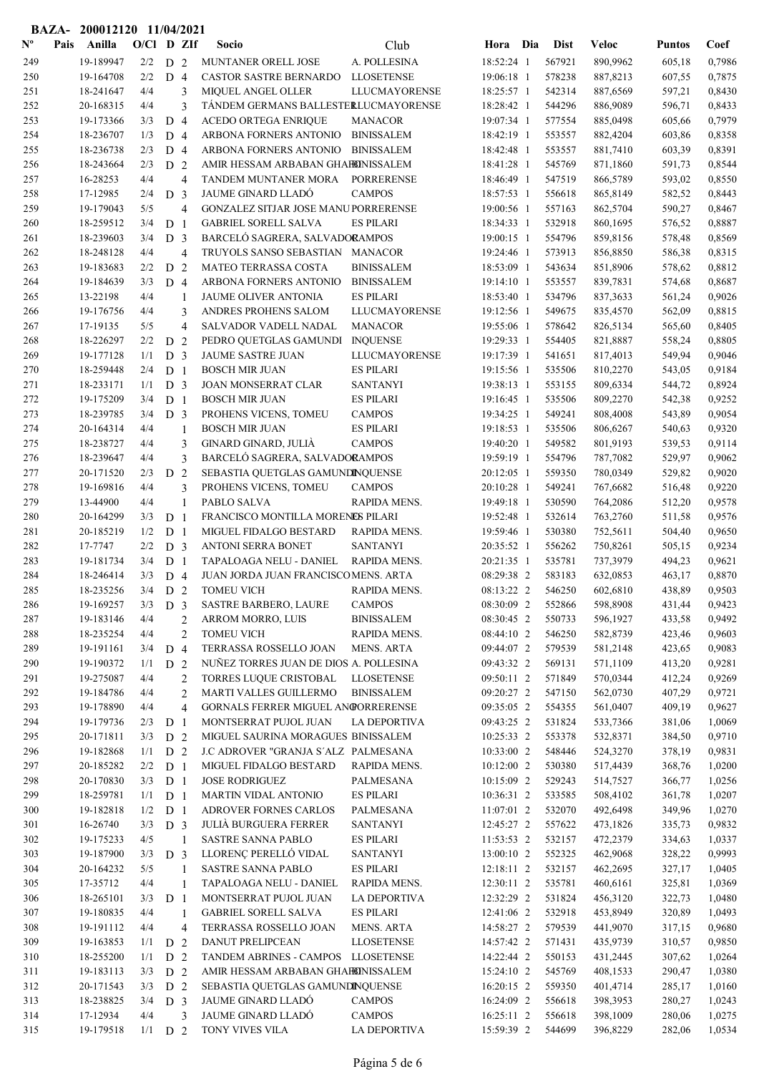|                           |      | BAZA- 200012120 11/04/2021 |              |                                  |                |                                                                |                               |                          |                  |                      |                  |                  |
|---------------------------|------|----------------------------|--------------|----------------------------------|----------------|----------------------------------------------------------------|-------------------------------|--------------------------|------------------|----------------------|------------------|------------------|
| $\mathbf{N}^{\mathbf{o}}$ | Pais | Anilla                     | $O/Cl$ D ZIf |                                  |                | Socio                                                          | Club                          | Hora Dia                 | <b>Dist</b>      | <b>Veloc</b>         | <b>Puntos</b>    | Coef             |
| 249                       |      | 19-189947                  | 2/2          | D <sub>2</sub>                   |                | MUNTANER ORELL JOSE                                            | A. POLLESINA                  | 18:52:24 1               | 567921           | 890,9962             | 605,18           | 0,7986           |
| 250                       |      | 19-164708                  | 2/2          | D <sub>4</sub>                   |                | CASTOR SASTRE BERNARDO                                         | <b>LLOSETENSE</b>             | 19:06:18 1               | 578238           | 887,8213             | 607,55           | 0,7875           |
| 251                       |      | 18-241647                  | 4/4          |                                  | 3              | MIQUEL ANGEL OLLER                                             | <b>LLUCMAYORENSE</b>          | 18:25:57 1               | 542314           | 887,6569             | 597,21           | 0,8430           |
| 252                       |      | 20-168315                  | 4/4          |                                  | 3              | TÁNDEM GERMANS BALLESTERLUCMAYORENSE                           |                               | 18:28:42 1               | 544296           | 886,9089             | 596,71           | 0,8433           |
| 253                       |      | 19-173366                  | 3/3          | D <sub>4</sub>                   |                | <b>ACEDO ORTEGA ENRIQUE</b>                                    | <b>MANACOR</b>                | 19:07:34 1               | 577554           | 885,0498             | 605,66           | 0,7979           |
| 254                       |      | 18-236707                  | 1/3          | D <sub>4</sub>                   |                | ARBONA FORNERS ANTONIO                                         | <b>BINISSALEM</b>             | 18:42:19 1               | 553557           | 882,4204             | 603,86           | 0,8358           |
| 255                       |      | 18-236738                  | 2/3          | D <sub>4</sub>                   |                | ARBONA FORNERS ANTONIO                                         | <b>BINISSALEM</b>             | 18:42:48 1               | 553557           | 881,7410             | 603,39           | 0,8391           |
| 256                       |      | 18-243664                  | 2/3          | D <sub>2</sub>                   |                | AMIR HESSAM ARBABAN GHAHONISSALEM                              |                               | 18:41:28 1               | 545769           | 871,1860             | 591,73           | 0,8544           |
| 257                       |      | 16-28253                   | 4/4          |                                  | $\overline{4}$ | TANDEM MUNTANER MORA                                           | <b>PORRERENSE</b>             | 18:46:49 1               | 547519           | 866,5789             | 593,02           | 0,8550           |
| 258                       |      | 17-12985                   | 2/4          | D <sub>3</sub>                   |                | JAUME GINARD LLADÓ                                             | <b>CAMPOS</b>                 | 18:57:53 1               | 556618           | 865,8149             | 582,52           | 0,8443           |
| 259                       |      | 19-179043                  | 5/5          |                                  | $\overline{4}$ | GONZALEZ SITJAR JOSE MANUPORRERENSE                            |                               | 19:00:56 1               | 557163           | 862,5704             | 590,27           | 0,8467           |
| 260                       |      | 18-259512                  | 3/4          | D <sub>1</sub>                   |                | <b>GABRIEL SORELL SALVA</b>                                    | <b>ES PILARI</b>              | 18:34:33 1               | 532918           | 860,1695             | 576,52           | 0,8887           |
| 261                       |      | 18-239603                  | 3/4          | D <sub>3</sub>                   |                | BARCELÓ SAGRERA, SALVADORAMPOS                                 |                               | 19:00:15 1               | 554796           | 859,8156             | 578,48           | 0,8569           |
| 262                       |      | 18-248128                  | 4/4          |                                  | $\overline{4}$ | TRUYOLS SANSO SEBASTIAN MANACOR                                |                               | 19:24:46 1               | 573913           | 856,8850             | 586,38           | 0,8315           |
| 263                       |      | 19-183683                  | 2/2          | D                                | $\overline{2}$ | MATEO TERRASSA COSTA                                           | <b>BINISSALEM</b>             | 18:53:09 1               | 543634           | 851,8906             | 578,62           | 0,8812           |
| 264                       |      | 19-184639                  | 3/3          | D <sub>4</sub>                   |                | ARBONA FORNERS ANTONIO                                         | <b>BINISSALEM</b>             | 19:14:10 1               | 553557           | 839,7831             | 574,68           | 0,8687           |
| 265                       |      | 13-22198                   | 4/4          |                                  | 1              | JAUME OLIVER ANTONIA                                           | <b>ES PILARI</b>              | 18:53:40 1               | 534796           | 837, 3633            | 561,24           | 0,9026           |
| 266                       |      | 19-176756                  | 4/4          |                                  | 3              | ANDRES PROHENS SALOM                                           | LLUCMAYORENSE                 | 19:12:56 1               | 549675           | 835,4570             | 562,09           | 0,8815           |
| 267                       |      | 17-19135                   | 5/5          |                                  | $\overline{4}$ | SALVADOR VADELL NADAL                                          | <b>MANACOR</b>                | 19:55:06 1               | 578642           | 826,5134             | 565,60           | 0,8405           |
| 268                       |      | 18-226297                  | 2/2          | D <sub>2</sub>                   |                | PEDRO QUETGLAS GAMUNDI                                         | <b>INQUENSE</b>               | 19:29:33 1               | 554405           | 821,8887             | 558,24           | 0,8805           |
| 269                       |      | 19-177128                  | 1/1          | D <sub>3</sub>                   |                | <b>JAUME SASTRE JUAN</b>                                       | LLUCMAYORENSE                 | 19:17:39 1               | 541651           | 817,4013             | 549,94           | 0,9046           |
| 270                       |      | 18-259448                  | 2/4          | D <sub>1</sub>                   |                | <b>BOSCH MIR JUAN</b>                                          | <b>ES PILARI</b>              | 19:15:56 1               | 535506           | 810,2270             | 543,05           | 0,9184           |
| 271                       |      | 18-233171                  | 1/1          | D <sub>3</sub>                   |                | JOAN MONSERRAT CLAR                                            | <b>SANTANYI</b>               | 19:38:13 1               | 553155           | 809,6334             | 544,72           | 0,8924           |
| 272                       |      | 19-175209                  | 3/4          | D <sub>1</sub>                   |                | <b>BOSCH MIR JUAN</b>                                          | <b>ES PILARI</b>              | 19:16:45 1               | 535506           | 809,2270             | 542,38           | 0,9252           |
| 273                       |      | 18-239785                  | 3/4          | D <sub>3</sub>                   |                | PROHENS VICENS, TOMEU                                          | <b>CAMPOS</b>                 | 19:34:25 1               | 549241           | 808,4008             | 543,89           | 0,9054           |
| 274                       |      | 20-164314                  | 4/4          |                                  | 1              | <b>BOSCH MIR JUAN</b>                                          | <b>ES PILARI</b>              | 19:18:53 1               | 535506           | 806,6267             | 540,63           | 0,9320           |
| 275                       |      | 18-238727                  | 4/4          |                                  | 3              | GINARD GINARD, JULIÀ                                           | <b>CAMPOS</b>                 | 19:40:20 1               | 549582           | 801,9193             | 539,53           | 0,9114           |
| 276                       |      | 18-239647                  | 4/4          |                                  | 3              | BARCELÓ SAGRERA, SALVADORAMPOS                                 |                               | 19:59:19 1               | 554796           | 787,7082             | 529,97           | 0,9062           |
| 277                       |      | 20-171520                  | 2/3          | D <sub>2</sub>                   |                | SEBASTIA QUETGLAS GAMUNDINQUENSE                               |                               | 20:12:05 1               | 559350           | 780,0349             | 529,82           | 0,9020           |
| 278                       |      | 19-169816                  | 4/4          |                                  | 3              | PROHENS VICENS, TOMEU                                          | <b>CAMPOS</b>                 | 20:10:28 1               | 549241           | 767,6682             | 516,48           | 0,9220           |
| 279                       |      | 13-44900                   | 4/4          |                                  | $\mathbf{1}$   | PABLO SALVA                                                    | RAPIDA MENS.                  | 19:49:18 1               | 530590           | 764,2086             | 512,20           | 0,9578           |
| 280                       |      | 20-164299                  | 3/3          | D <sub>1</sub>                   |                | FRANCISCO MONTILLA MORENES PILARI                              |                               | 19:52:48 1               | 532614           | 763,2760             | 511,58           | 0,9576           |
| 281                       |      | 20-185219                  | 1/2          | D <sub>1</sub>                   |                | MIGUEL FIDALGO BESTARD                                         | RAPIDA MENS.                  | 19:59:46 1               | 530380           | 752,5611<br>750,8261 | 504,40           | 0,9650           |
| 282                       |      | 17-7747                    | 2/2          | D <sub>3</sub>                   |                | ANTONI SERRA BONET                                             | <b>SANTANYI</b>               | 20:35:52 1               | 556262           |                      | 505,15           | 0,9234           |
| 283<br>284                |      | 19-181734<br>18-246414     | 3/4<br>3/3   | D <sub>1</sub><br>D <sub>4</sub> |                | TAPALOAGA NELU - DANIEL<br>JUAN JORDA JUAN FRANCISCOMENS. ARTA | RAPIDA MENS.                  | 20:21:35 1<br>08:29:38 2 | 535781<br>583183 | 737,3979<br>632,0853 | 494,23<br>463,17 | 0,9621<br>0,8870 |
|                           |      | 18-235256                  | 3/4          |                                  |                |                                                                |                               | 08:13:22 2               | 546250           |                      | 438,89           | 0,9503           |
| 285<br>286                |      | 19-169257                  | 3/3          | D <sub>2</sub><br>D <sub>3</sub> |                | <b>TOMEU VICH</b><br>SASTRE BARBERO, LAURE                     | RAPIDA MENS.<br><b>CAMPOS</b> | 08:30:09 2               | 552866           | 602,6810<br>598,8908 | 431,44           | 0,9423           |
| 287                       |      | 19-183146                  | 4/4          |                                  | $\overline{c}$ | ARROM MORRO, LUIS                                              | <b>BINISSALEM</b>             | 08:30:45 2               | 550733           | 596,1927             | 433,58           | 0,9492           |
| 288                       |      | 18-235254                  | 4/4          |                                  | $\overline{c}$ | <b>TOMEU VICH</b>                                              | RAPIDA MENS.                  | 08:44:10 2               | 546250           | 582,8739             | 423,46           | 0,9603           |
| 289                       |      | 19-191161                  | 3/4          | D <sub>4</sub>                   |                | TERRASSA ROSSELLO JOAN                                         | <b>MENS. ARTA</b>             | 09:44:07 2               | 579539           | 581,2148             | 423,65           | 0,9083           |
| 290                       |      | 19-190372                  | 1/1          | D <sub>2</sub>                   |                | NUÑEZ TORRES JUAN DE DIOS A. POLLESINA                         |                               | 09:43:32 2               | 569131           | 571,1109             | 413,20           | 0,9281           |
| 291                       |      | 19-275087                  | 4/4          |                                  | $\mathbf{2}$   | TORRES LUQUE CRISTOBAL                                         | <b>LLOSETENSE</b>             | 09:50:11 2               | 571849           | 570,0344             | 412,24           | 0,9269           |
| 292                       |      | 19-184786                  | 4/4          |                                  | $\mathbf{2}$   | MARTI VALLES GUILLERMO                                         | <b>BINISSALEM</b>             | 09:20:27 2               | 547150           | 562,0730             | 407,29           | 0,9721           |
| 293                       |      | 19-178890                  | 4/4          |                                  | $\overline{4}$ | GORNALS FERRER MIGUEL ANGORRERENSE                             |                               | 09:35:05 2               | 554355           | 561,0407             | 409,19           | 0,9627           |
| 294                       |      | 19-179736                  | 2/3          | D <sub>1</sub>                   |                | MONTSERRAT PUJOL JUAN                                          | LA DEPORTIVA                  | 09:43:25 2               | 531824           | 533,7366             | 381,06           | 1,0069           |
| 295                       |      | 20-171811                  | 3/3          | D <sub>2</sub>                   |                | MIGUEL SAURINA MORAGUES BINISSALEM                             |                               | 10:25:33 2               | 553378           | 532,8371             | 384,50           | 0,9710           |
| 296                       |      | 19-182868                  | 1/1          | D <sub>2</sub>                   |                | J.C ADROVER "GRANJA S'ALZ PALMESANA                            |                               | 10:33:00 2               | 548446           | 524,3270             | 378,19           | 0,9831           |
| 297                       |      | 20-185282                  | 2/2          | D <sub>1</sub>                   |                | MIGUEL FIDALGO BESTARD                                         | RAPIDA MENS.                  | 10:12:00 2               | 530380           | 517,4439             | 368,76           | 1,0200           |
| 298                       |      | 20-170830                  | 3/3          | D <sub>1</sub>                   |                | <b>JOSE RODRIGUEZ</b>                                          | PALMESANA                     | 10:15:09 2               | 529243           | 514,7527             | 366,77           | 1,0256           |
| 299                       |      | 18-259781                  | 1/1          | D <sub>1</sub>                   |                | <b>MARTIN VIDAL ANTONIO</b>                                    | <b>ES PILARI</b>              | 10:36:31 2               | 533585           | 508,4102             | 361,78           | 1,0207           |
| 300                       |      | 19-182818                  | 1/2          | D <sub>1</sub>                   |                | <b>ADROVER FORNES CARLOS</b>                                   | PALMESANA                     | $11:07:01$ 2             | 532070           | 492,6498             | 349,96           | 1,0270           |
| 301                       |      | 16-26740                   | 3/3          | D <sub>3</sub>                   |                | <b>JULIÀ BURGUERA FERRER</b>                                   | <b>SANTANYI</b>               | 12:45:27 2               | 557622           | 473,1826             | 335,73           | 0,9832           |
| 302                       |      | 19-175233                  | 4/5          |                                  | $\mathbf{1}$   | SASTRE SANNA PABLO                                             | <b>ES PILARI</b>              | 11:53:53 2               | 532157           | 472,2379             | 334,63           | 1,0337           |
| 303                       |      | 19-187900                  | 3/3          | D <sub>3</sub>                   |                | LLORENÇ PERELLÓ VIDAL                                          | <b>SANTANYI</b>               | 13:00:10 2               | 552325           | 462,9068             | 328,22           | 0,9993           |
| 304                       |      | 20-164232                  | 5/5          |                                  | $\mathbf{1}$   | <b>SASTRE SANNA PABLO</b>                                      | <b>ES PILARI</b>              | 12:18:11 2               | 532157           | 462,2695             | 327,17           | 1,0405           |
| 305                       |      | 17-35712                   | 4/4          |                                  | 1              | TAPALOAGA NELU - DANIEL                                        | RAPIDA MENS.                  | 12:30:11 2               | 535781           | 460,6161             | 325,81           | 1,0369           |
| 306                       |      | 18-265101                  | 3/3          | D <sub>1</sub>                   |                | MONTSERRAT PUJOL JUAN                                          | <b>LA DEPORTIVA</b>           | 12:32:29 2               | 531824           | 456,3120             | 322,73           | 1,0480           |
| 307                       |      | 19-180835                  | 4/4          |                                  | 1              | <b>GABRIEL SORELL SALVA</b>                                    | <b>ES PILARI</b>              | 12:41:06 2               | 532918           | 453,8949             | 320,89           | 1,0493           |
| 308                       |      | 19-191112                  | 4/4          |                                  | 4              | TERRASSA ROSSELLO JOAN                                         | MENS. ARTA                    | 14:58:27 2               | 579539           | 441,9070             | 317,15           | 0,9680           |
| 309                       |      | 19-163853                  | 1/1          | D <sub>2</sub>                   |                | <b>DANUT PRELIPCEAN</b>                                        | <b>LLOSETENSE</b>             | 14:57:42 2               | 571431           | 435,9739             | 310,57           | 0,9850           |
| 310                       |      | 18-255200                  | 1/1          | D <sub>2</sub>                   |                | TANDEM ABRINES - CAMPOS LLOSETENSE                             |                               | 14:22:44 2               | 550153           | 431,2445             | 307,62           | 1,0264           |
| 311                       |      | 19-183113                  | 3/3          | D <sub>2</sub>                   |                | AMIR HESSAM ARBABAN GHAHINISSALEM                              |                               | 15:24:10 2               | 545769           | 408,1533             | 290,47           | 1,0380           |
| 312                       |      | 20-171543                  | 3/3          | D <sub>2</sub>                   |                | SEBASTIA QUETGLAS GAMUNDINQUENSE                               |                               | 16:20:15 2               | 559350           | 401,4714             | 285,17           | 1,0160           |
| 313                       |      | 18-238825                  | 3/4          | D <sub>3</sub>                   |                | JAUME GINARD LLADÓ                                             | <b>CAMPOS</b>                 | 16:24:09 2               | 556618           | 398,3953             | 280,27           | 1,0243           |
| 314                       |      | 17-12934                   | 4/4          |                                  | 3              | JAUME GINARD LLADÓ                                             | <b>CAMPOS</b>                 | 16:25:11 2               | 556618           | 398,1009             | 280,06           | 1,0275           |
| 315                       |      | 19-179518                  | $1/1$ D 2    |                                  |                | TONY VIVES VILA                                                | LA DEPORTIVA                  | 15:59:39 2               | 544699           | 396,8229             | 282,06           | 1,0534           |